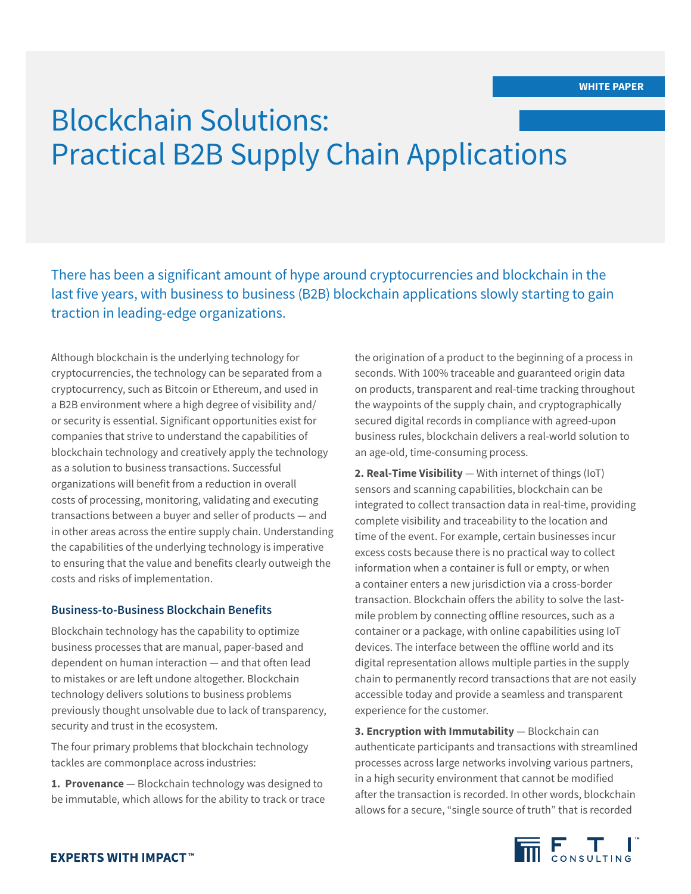# Blockchain Solutions: Practical B2B Supply Chain Applications

There has been a significant amount of hype around cryptocurrencies and blockchain in the last five years, with business to business (B2B) blockchain applications slowly starting to gain traction in leading-edge organizations.

Although blockchain is the underlying technology for cryptocurrencies, the technology can be separated from a cryptocurrency, such as Bitcoin or Ethereum, and used in a B2B environment where a high degree of visibility and/ or security is essential. Significant opportunities exist for companies that strive to understand the capabilities of blockchain technology and creatively apply the technology as a solution to business transactions. Successful organizations will benefit from a reduction in overall costs of processing, monitoring, validating and executing transactions between a buyer and seller of products — and in other areas across the entire supply chain. Understanding the capabilities of the underlying technology is imperative to ensuring that the value and benefits clearly outweigh the costs and risks of implementation.

# **Business-to-Business Blockchain Benefits**

Blockchain technology has the capability to optimize business processes that are manual, paper-based and dependent on human interaction — and that often lead to mistakes or are left undone altogether. Blockchain technology delivers solutions to business problems previously thought unsolvable due to lack of transparency, security and trust in the ecosystem.

The four primary problems that blockchain technology tackles are commonplace across industries:

**1. Provenance** — Blockchain technology was designed to be immutable, which allows for the ability to track or trace the origination of a product to the beginning of a process in seconds. With 100% traceable and guaranteed origin data on products, transparent and real-time tracking throughout the waypoints of the supply chain, and cryptographically secured digital records in compliance with agreed-upon business rules, blockchain delivers a real-world solution to an age-old, time-consuming process.

**2. Real-Time Visibility** — With internet of things (IoT) sensors and scanning capabilities, blockchain can be integrated to collect transaction data in real-time, providing complete visibility and traceability to the location and time of the event. For example, certain businesses incur excess costs because there is no practical way to collect information when a container is full or empty, or when a container enters a new jurisdiction via a cross-border transaction. Blockchain offers the ability to solve the lastmile problem by connecting offline resources, such as a container or a package, with online capabilities using IoT devices. The interface between the offline world and its digital representation allows multiple parties in the supply chain to permanently record transactions that are not easily accessible today and provide a seamless and transparent experience for the customer.

**3. Encryption with Immutability** — Blockchain can authenticate participants and transactions with streamlined processes across large networks involving various partners, in a high security environment that cannot be modified after the transaction is recorded. In other words, blockchain allows for a secure, "single source of truth" that is recorded

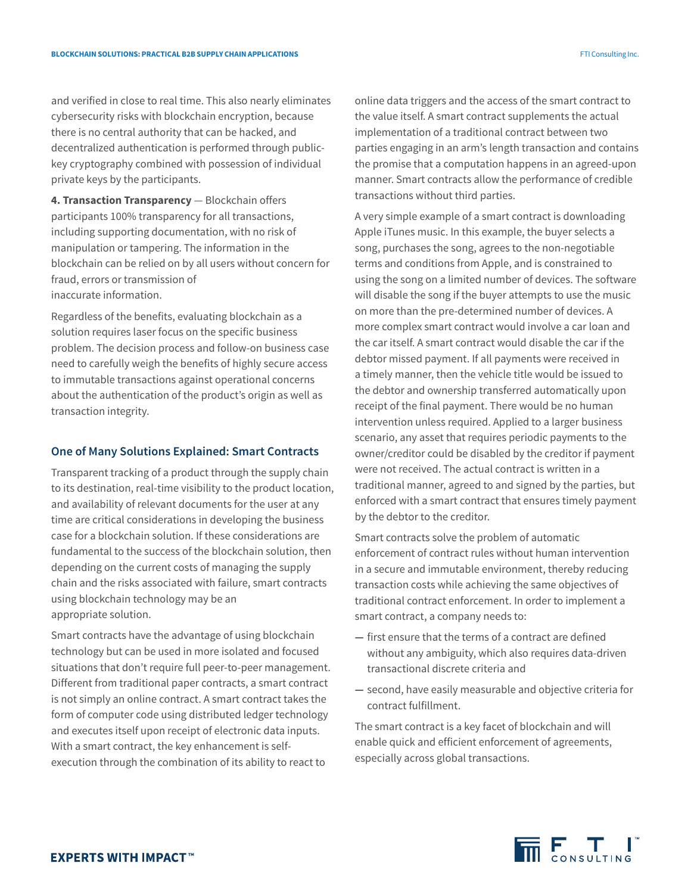and verified in close to real time. This also nearly eliminates cybersecurity risks with blockchain encryption, because there is no central authority that can be hacked, and decentralized authentication is performed through publickey cryptography combined with possession of individual private keys by the participants.

**4. Transaction Transparency** — Blockchain offers participants 100% transparency for all transactions, including supporting documentation, with no risk of manipulation or tampering. The information in the blockchain can be relied on by all users without concern for fraud, errors or transmission of inaccurate information.

Regardless of the benefits, evaluating blockchain as a solution requires laser focus on the specific business problem. The decision process and follow-on business case need to carefully weigh the benefits of highly secure access to immutable transactions against operational concerns about the authentication of the product's origin as well as transaction integrity.

## **One of Many Solutions Explained: Smart Contracts**

Transparent tracking of a product through the supply chain to its destination, real-time visibility to the product location, and availability of relevant documents for the user at any time are critical considerations in developing the business case for a blockchain solution. If these considerations are fundamental to the success of the blockchain solution, then depending on the current costs of managing the supply chain and the risks associated with failure, smart contracts using blockchain technology may be an appropriate solution.

Smart contracts have the advantage of using blockchain technology but can be used in more isolated and focused situations that don't require full peer-to-peer management. Different from traditional paper contracts, a smart contract is not simply an online contract. A smart contract takes the form of computer code using distributed ledger technology and executes itself upon receipt of electronic data inputs. With a smart contract, the key enhancement is selfexecution through the combination of its ability to react to

online data triggers and the access of the smart contract to the value itself. A smart contract supplements the actual implementation of a traditional contract between two parties engaging in an arm's length transaction and contains the promise that a computation happens in an agreed-upon manner. Smart contracts allow the performance of credible transactions without third parties.

A very simple example of a smart contract is downloading Apple iTunes music. In this example, the buyer selects a song, purchases the song, agrees to the non-negotiable terms and conditions from Apple, and is constrained to using the song on a limited number of devices. The software will disable the song if the buyer attempts to use the music on more than the pre-determined number of devices. A more complex smart contract would involve a car loan and the car itself. A smart contract would disable the car if the debtor missed payment. If all payments were received in a timely manner, then the vehicle title would be issued to the debtor and ownership transferred automatically upon receipt of the final payment. There would be no human intervention unless required. Applied to a larger business scenario, any asset that requires periodic payments to the owner/creditor could be disabled by the creditor if payment were not received. The actual contract is written in a traditional manner, agreed to and signed by the parties, but enforced with a smart contract that ensures timely payment by the debtor to the creditor.

Smart contracts solve the problem of automatic enforcement of contract rules without human intervention in a secure and immutable environment, thereby reducing transaction costs while achieving the same objectives of traditional contract enforcement. In order to implement a smart contract, a company needs to:

- **—** first ensure that the terms of a contract are defined without any ambiguity, which also requires data-driven transactional discrete criteria and
- **—** second, have easily measurable and objective criteria for contract fulfillment.

The smart contract is a key facet of blockchain and will enable quick and efficient enforcement of agreements, especially across global transactions.

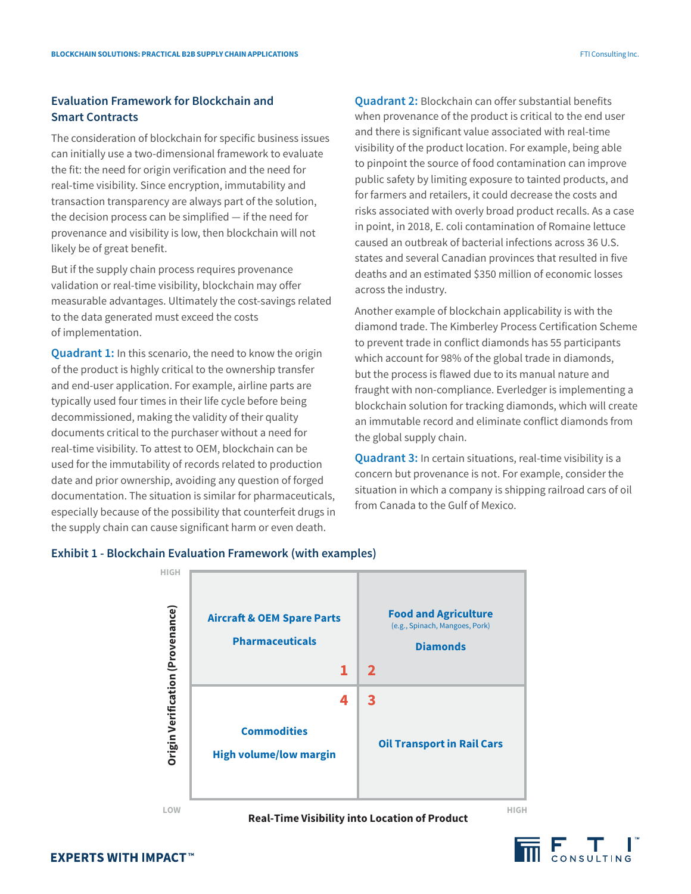# **Evaluation Framework for Blockchain and Smart Contracts**

The consideration of blockchain for specific business issues can initially use a two-dimensional framework to evaluate the fit: the need for origin verification and the need for real-time visibility. Since encryption, immutability and transaction transparency are always part of the solution, the decision process can be simplified — if the need for provenance and visibility is low, then blockchain will not likely be of great benefit.

But if the supply chain process requires provenance validation or real-time visibility, blockchain may offer measurable advantages. Ultimately the cost-savings related to the data generated must exceed the costs of implementation.

**Quadrant 1:** In this scenario, the need to know the origin of the product is highly critical to the ownership transfer and end-user application. For example, airline parts are typically used four times in their life cycle before being decommissioned, making the validity of their quality documents critical to the purchaser without a need for real-time visibility. To attest to OEM, blockchain can be used for the immutability of records related to production date and prior ownership, avoiding any question of forged documentation. The situation is similar for pharmaceuticals, especially because of the possibility that counterfeit drugs in the supply chain can cause significant harm or even death.

**Quadrant 2:** Blockchain can offer substantial benefits when provenance of the product is critical to the end user and there is significant value associated with real-time visibility of the product location. For example, being able to pinpoint the source of food contamination can improve public safety by limiting exposure to tainted products, and for farmers and retailers, it could decrease the costs and risks associated with overly broad product recalls. As a case in point, in 2018, E. coli contamination of Romaine lettuce caused an outbreak of bacterial infections across 36 U.S. states and several Canadian provinces that resulted in five deaths and an estimated \$350 million of economic losses across the industry.

Another example of blockchain applicability is with the diamond trade. The Kimberley Process Certification Scheme to prevent trade in conflict diamonds has 55 participants which account for 98% of the global trade in diamonds, but the process is flawed due to its manual nature and fraught with non-compliance. Everledger is implementing a blockchain solution for tracking diamonds, which will create an immutable record and eliminate conflict diamonds from the global supply chain.

**Quadrant 3:** In certain situations, real-time visibility is a concern but provenance is not. For example, consider the situation in which a company is shipping railroad cars of oil from Canada to the Gulf of Mexico.

# **Exhibit 1 - Blockchain Evaluation Framework (with examples)**



**Real-Time Visibility into Location of Product LOW HIGH**